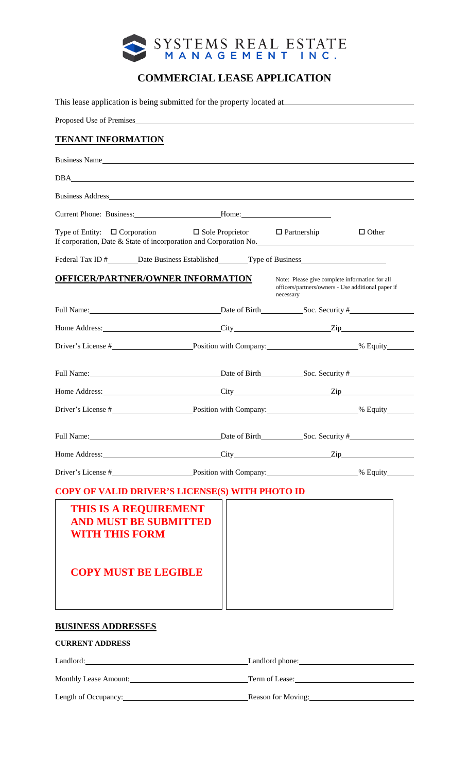

# **COMMERCIAL LEASE APPLICATION**

|                                   | This lease application is being submitted for the property located at                                                                                                                                                          |                                                                                                                   |              |
|-----------------------------------|--------------------------------------------------------------------------------------------------------------------------------------------------------------------------------------------------------------------------------|-------------------------------------------------------------------------------------------------------------------|--------------|
|                                   | Proposed Use of Premises                                                                                                                                                                                                       |                                                                                                                   |              |
| <b>TENANT INFORMATION</b>         |                                                                                                                                                                                                                                |                                                                                                                   |              |
|                                   | Business Name and the state of the state of the state of the state of the state of the state of the state of the state of the state of the state of the state of the state of the state of the state of the state of the state |                                                                                                                   |              |
|                                   | DBA and the second state of the second state of the second state of the second state of the second state of the second state of the second state of the second state of the second state of the second state of the second sta |                                                                                                                   |              |
|                                   |                                                                                                                                                                                                                                |                                                                                                                   |              |
|                                   | Current Phone: Business: _________________________Home: _________________________                                                                                                                                              |                                                                                                                   |              |
|                                   | Type of Entity: $\Box$ Corporation $\Box$ Sole Proprietor $\Box$ Partnership<br>If corporation, Date & State of incorporation and Corporation No.                                                                              |                                                                                                                   | $\Box$ Other |
|                                   | Federal Tax ID # _______ Date Business Established _________ Type of Business                                                                                                                                                  |                                                                                                                   |              |
| OFFICER/PARTNER/OWNER INFORMATION |                                                                                                                                                                                                                                | Note: Please give complete information for all<br>officers/partners/owners - Use additional paper if<br>necessary |              |
|                                   |                                                                                                                                                                                                                                |                                                                                                                   |              |
|                                   | Home Address: ______________________________City ________________________________Zip                                                                                                                                           |                                                                                                                   |              |
|                                   |                                                                                                                                                                                                                                |                                                                                                                   |              |
|                                   | Full Name: <u>Date</u> of Birth Soc. Security #                                                                                                                                                                                |                                                                                                                   |              |
|                                   |                                                                                                                                                                                                                                |                                                                                                                   |              |
|                                   |                                                                                                                                                                                                                                |                                                                                                                   |              |
|                                   | Full Name: <u>Date</u> of Birth Soc. Security #                                                                                                                                                                                |                                                                                                                   |              |
|                                   | Home Address: <u>City</u> City <b>City City City City City City City City City City City City City City City City City City City City City City City City City City City City</b>                                              |                                                                                                                   |              |
|                                   |                                                                                                                                                                                                                                |                                                                                                                   |              |

| THIS IS A REQUIREMENT<br><b>AND MUST BE SUBMITTED</b><br><b>WITH THIS FORM</b> |  |
|--------------------------------------------------------------------------------|--|
| <b>COPY MUST BE LEGIBLE</b>                                                    |  |
|                                                                                |  |

# **BUSINESS ADDRESSES**

## **CURRENT ADDRESS**

| Landlord:             | Landlord phone:    |
|-----------------------|--------------------|
| Monthly Lease Amount: | Term of Lease:     |
| Length of Occupancy:  | Reason for Moving: |